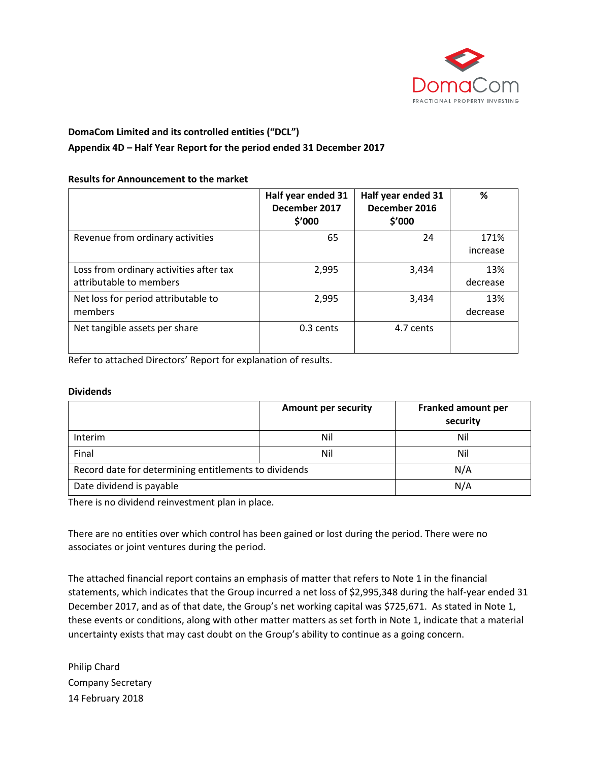

# **DomaCom Limited and its controlled entities ("DCL")**

# **Appendix 4D – Half Year Report for the period ended 31 December 2017**

## **Results for Announcement to the market**

|                                                                    | Half year ended 31<br>December 2017<br>\$′000 | Half year ended 31<br>December 2016<br>\$′000 | %                |
|--------------------------------------------------------------------|-----------------------------------------------|-----------------------------------------------|------------------|
| Revenue from ordinary activities                                   | 65                                            | 24                                            | 171%<br>increase |
| Loss from ordinary activities after tax<br>attributable to members | 2,995                                         | 3,434                                         | 13%<br>decrease  |
| Net loss for period attributable to<br>members                     | 2,995                                         | 3,434                                         | 13%<br>decrease  |
| Net tangible assets per share                                      | 0.3 cents                                     | 4.7 cents                                     |                  |

Refer to attached Directors' Report for explanation of results.

#### **Dividends**

|                                                       | <b>Amount per security</b> | Franked amount per<br>security |
|-------------------------------------------------------|----------------------------|--------------------------------|
| <b>Interim</b>                                        | Nil                        | Nil                            |
| Final                                                 | Nil                        | Nil                            |
| Record date for determining entitlements to dividends |                            | N/A                            |
| Date dividend is payable                              |                            | N/A                            |

There is no dividend reinvestment plan in place.

There are no entities over which control has been gained or lost during the period. There were no associates or joint ventures during the period.

The attached financial report contains an emphasis of matter that refers to Note 1 in the financial statements, which indicates that the Group incurred a net loss of \$2,995,348 during the half-year ended 31 December 2017, and as of that date, the Group's net working capital was \$725,671. As stated in Note 1, these events or conditions, along with other matter matters as set forth in Note 1, indicate that a material uncertainty exists that may cast doubt on the Group's ability to continue as a going concern.

Philip Chard Company Secretary 14 February 2018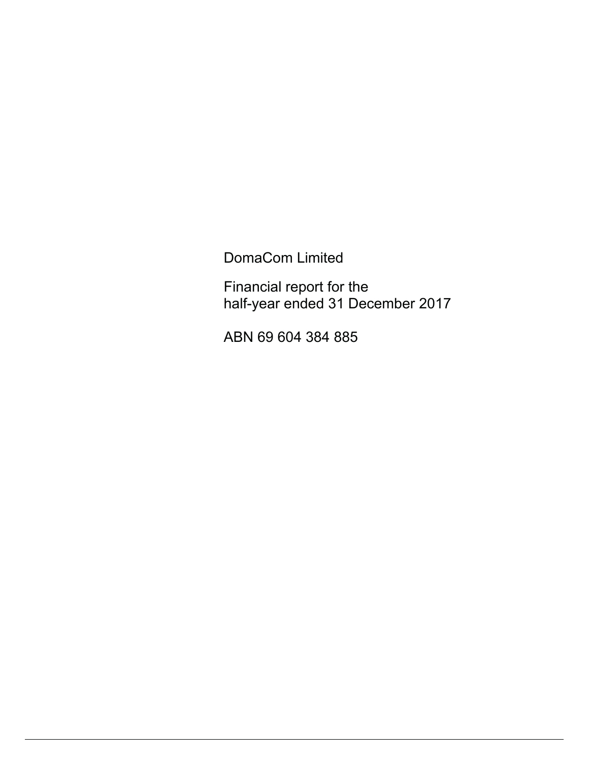DomaCom Limited

Financial report for the half-year ended 31 December 2017

ABN 69 604 384 885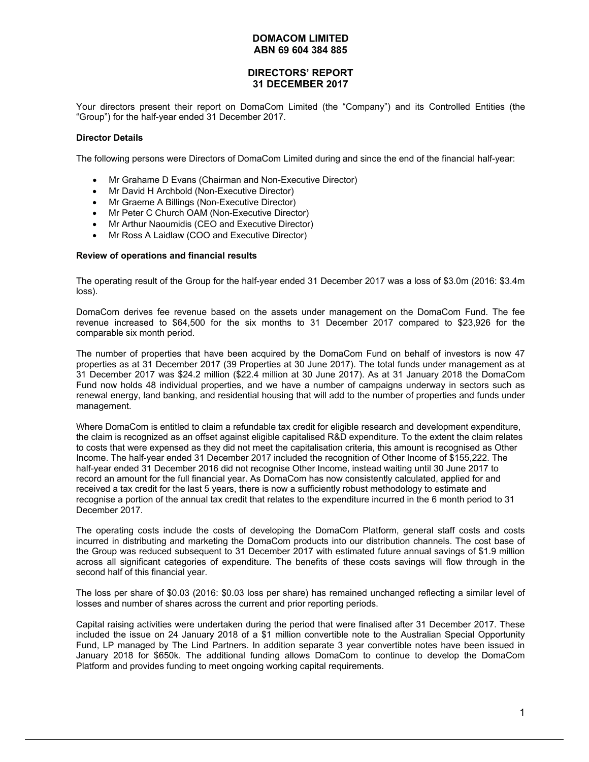## **DIRECTORS' REPORT 31 DECEMBER 2017**

Your directors present their report on DomaCom Limited (the "Company") and its Controlled Entities (the "Group") for the half-year ended 31 December 2017.

#### **Director Details**

The following persons were Directors of DomaCom Limited during and since the end of the financial half-year:

- Mr Grahame D Evans (Chairman and Non-Executive Director)
- Mr David H Archbold (Non-Executive Director)
- Mr Graeme A Billings (Non-Executive Director)
- Mr Peter C Church OAM (Non-Executive Director)
- Mr Arthur Naoumidis (CEO and Executive Director)
- Mr Ross A Laidlaw (COO and Executive Director)

#### **Review of operations and financial results**

The operating result of the Group for the half-year ended 31 December 2017 was a loss of \$3.0m (2016: \$3.4m loss).

DomaCom derives fee revenue based on the assets under management on the DomaCom Fund. The fee revenue increased to \$64,500 for the six months to 31 December 2017 compared to \$23,926 for the comparable six month period.

The number of properties that have been acquired by the DomaCom Fund on behalf of investors is now 47 properties as at 31 December 2017 (39 Properties at 30 June 2017). The total funds under management as at 31 December 2017 was \$24.2 million (\$22.4 million at 30 June 2017). As at 31 January 2018 the DomaCom Fund now holds 48 individual properties, and we have a number of campaigns underway in sectors such as renewal energy, land banking, and residential housing that will add to the number of properties and funds under management.

Where DomaCom is entitled to claim a refundable tax credit for eligible research and development expenditure, the claim is recognized as an offset against eligible capitalised R&D expenditure. To the extent the claim relates to costs that were expensed as they did not meet the capitalisation criteria, this amount is recognised as Other Income. The half-year ended 31 December 2017 included the recognition of Other Income of \$155,222. The half-year ended 31 December 2016 did not recognise Other Income, instead waiting until 30 June 2017 to record an amount for the full financial year. As DomaCom has now consistently calculated, applied for and received a tax credit for the last 5 years, there is now a sufficiently robust methodology to estimate and recognise a portion of the annual tax credit that relates to the expenditure incurred in the 6 month period to 31 December 2017.

The operating costs include the costs of developing the DomaCom Platform, general staff costs and costs incurred in distributing and marketing the DomaCom products into our distribution channels. The cost base of the Group was reduced subsequent to 31 December 2017 with estimated future annual savings of \$1.9 million across all significant categories of expenditure. The benefits of these costs savings will flow through in the second half of this financial year.

The loss per share of \$0.03 (2016: \$0.03 loss per share) has remained unchanged reflecting a similar level of losses and number of shares across the current and prior reporting periods.

Capital raising activities were undertaken during the period that were finalised after 31 December 2017. These included the issue on 24 January 2018 of a \$1 million convertible note to the Australian Special Opportunity Fund, LP managed by The Lind Partners. In addition separate 3 year convertible notes have been issued in January 2018 for \$650k. The additional funding allows DomaCom to continue to develop the DomaCom Platform and provides funding to meet ongoing working capital requirements.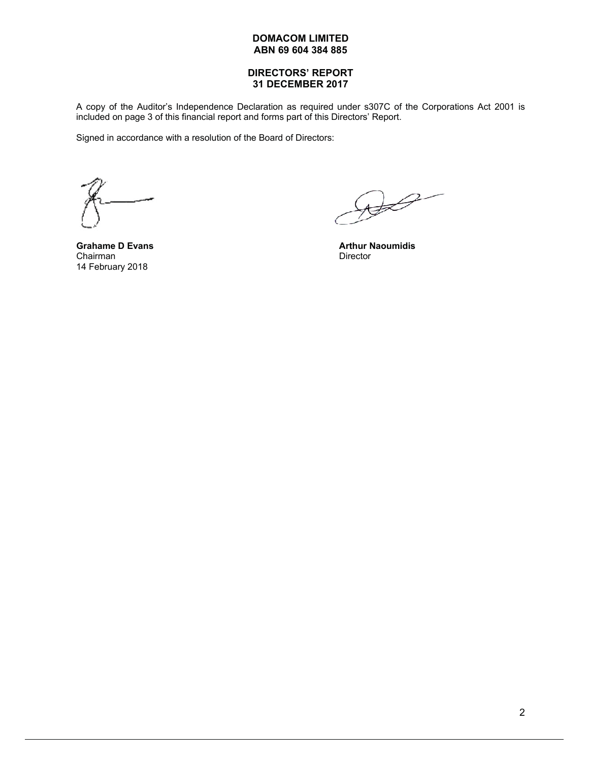### **DIRECTORS' REPORT 31 DECEMBER 2017**

A copy of the Auditor's Independence Declaration as required under s307C of the Corporations Act 2001 is included on page 3 of this financial report and forms part of this Directors' Report.

Signed in accordance with a resolution of the Board of Directors:

Chairman Director 14 February 2018

 $\bigoplus$ 

**Grahame D Evans Arthur Naoumidis Arthur Naoumidis**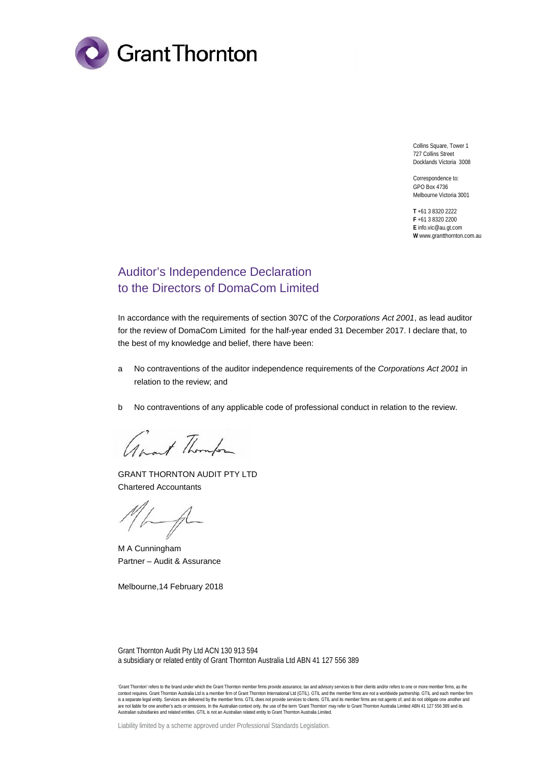

Collins Square, Tower 1 727 Collins Street Docklands Victoria 3008

Correspondence to: GPO Box 4736 Melbourne Victoria 3001

**T** +61 3 8320 2222 **F** +61 3 8320 2200 **E** info.vic@au.gt.com **W** www.grantthornton.com.au

# Auditor's Independence Declaration to the Directors of DomaCom Limited

In accordance with the requirements of section 307C of the *Corporations Act 2001*, as lead auditor for the review of DomaCom Limited for the half-year ended 31 December 2017. I declare that, to the best of my knowledge and belief, there have been:

- a No contraventions of the auditor independence requirements of the *Corporations Act 2001* in relation to the review; and
- b No contraventions of any applicable code of professional conduct in relation to the review.

about Thomps

GRANT THORNTON AUDIT PTY LTD Chartered Accountants

M A Cunningham Partner – Audit & Assurance

Melbourne,14 February 2018

Grant Thornton Audit Pty Ltd ACN 130 913 594 a subsidiary or related entity of Grant Thornton Australia Ltd ABN 41 127 556 389

'Grant Thornton' refers to the brand under which the Grant Thornton member firms provide assurance, tax and advisory services to their clients and/or refers to one or more member firms, as the context requires. Grant Thornton Australia Ltd is a member firm of Grant Thornton International Ltd (GTIL). GTIL and the member firms are not a worldwide partnership. GTIL and each member firm is a separate legal entity. Services are delivered by the member firms. GTIL does not provide services to clients. GTIL and its member firms are not agents of, and do not obligate one another and<br>are not liable for one ano Australian subsidiaries and related entities. GTIL is not an Australian related entity to Grant Thornton Australia Limited.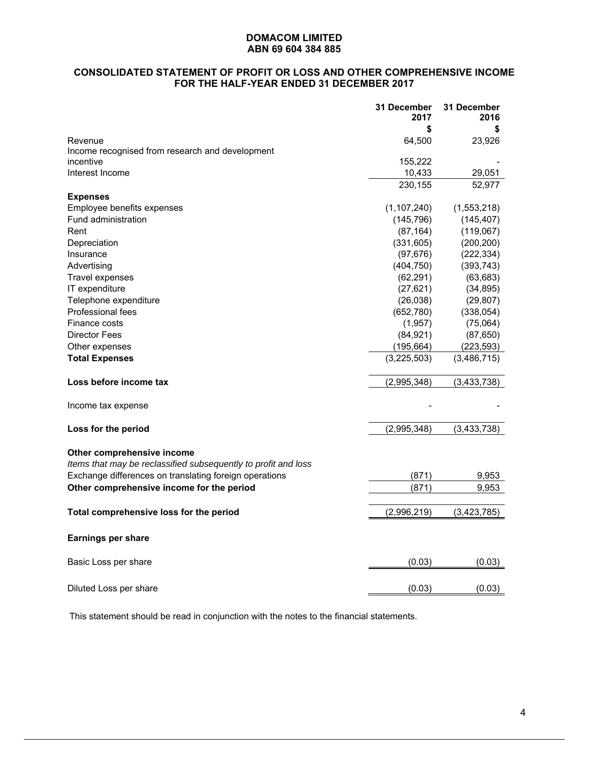# **CONSOLIDATED STATEMENT OF PROFIT OR LOSS AND OTHER COMPREHENSIVE INCOME FOR THE HALF-YEAR ENDED 31 DECEMBER 2017**

|                                                                                              | 31 December<br>2017 | 31 December<br>2016 |
|----------------------------------------------------------------------------------------------|---------------------|---------------------|
|                                                                                              |                     |                     |
| Revenue                                                                                      | 64,500              | 23,926              |
| Income recognised from research and development                                              |                     |                     |
| incentive                                                                                    | 155,222             |                     |
| Interest Income                                                                              | 10,433              | 29,051              |
|                                                                                              | 230,155             | 52,977              |
| <b>Expenses</b>                                                                              |                     |                     |
| Employee benefits expenses                                                                   | (1, 107, 240)       | (1,553,218)         |
| Fund administration                                                                          | (145, 796)          | (145, 407)          |
| Rent                                                                                         | (87, 164)           | (119,067)           |
| Depreciation                                                                                 | (331, 605)          | (200, 200)          |
| Insurance                                                                                    | (97, 676)           | (222, 334)          |
| Advertising                                                                                  | (404, 750)          | (393, 743)          |
| Travel expenses                                                                              | (62, 291)           | (63, 683)           |
| IT expenditure                                                                               | (27, 621)           | (34, 895)           |
| Telephone expenditure                                                                        | (26, 038)           | (29, 807)           |
| <b>Professional fees</b>                                                                     | (652, 780)          | (338,054)           |
| Finance costs                                                                                | (1, 957)            | (75,064)            |
| <b>Director Fees</b>                                                                         | (84, 921)           | (87, 650)           |
| Other expenses                                                                               | (195, 664)          | (223, 593)          |
| <b>Total Expenses</b>                                                                        | (3,225,503)         | (3,486,715)         |
| Loss before income tax                                                                       | (2,995,348)         | (3, 433, 738)       |
| Income tax expense                                                                           |                     |                     |
| Loss for the period                                                                          | (2,995,348)         | (3, 433, 738)       |
|                                                                                              |                     |                     |
| Other comprehensive income<br>Items that may be reclassified subsequently to profit and loss |                     |                     |
| Exchange differences on translating foreign operations                                       | (871)               | 9,953               |
| Other comprehensive income for the period                                                    | (871)               | 9,953               |
| Total comprehensive loss for the period                                                      | (2,996,219)         | (3, 423, 785)       |
| <b>Earnings per share</b>                                                                    |                     |                     |
| Basic Loss per share                                                                         | (0.03)              | (0.03)              |
| Diluted Loss per share                                                                       | (0.03)              | (0.03)              |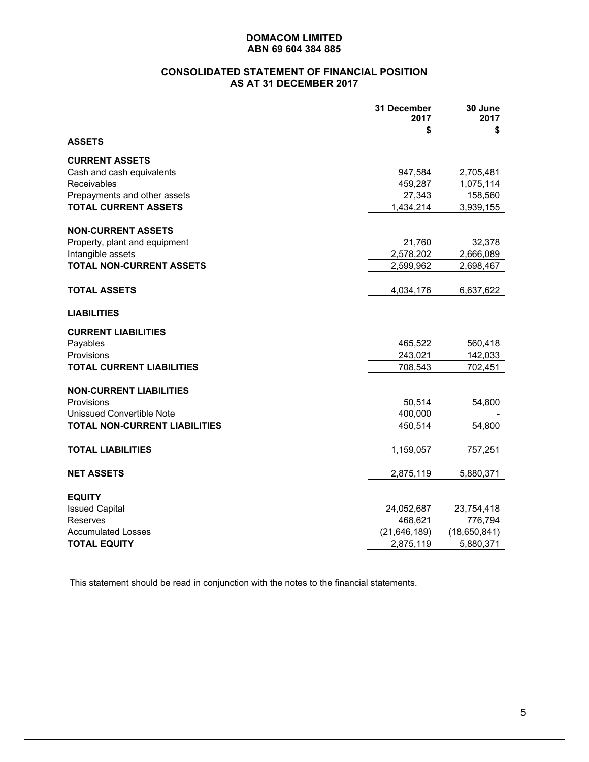## **CONSOLIDATED STATEMENT OF FINANCIAL POSITION AS AT 31 DECEMBER 2017**

|                                      | 31 December<br>2017<br>\$ | 30 June<br>2017<br>\$ |
|--------------------------------------|---------------------------|-----------------------|
| <b>ASSETS</b>                        |                           |                       |
| <b>CURRENT ASSETS</b>                |                           |                       |
| Cash and cash equivalents            | 947,584                   | 2,705,481             |
| <b>Receivables</b>                   | 459,287                   | 1,075,114             |
| Prepayments and other assets         | 27,343                    | 158,560               |
| <b>TOTAL CURRENT ASSETS</b>          | 1,434,214                 | 3,939,155             |
| <b>NON-CURRENT ASSETS</b>            |                           |                       |
| Property, plant and equipment        | 21,760                    | 32,378                |
| Intangible assets                    | 2,578,202                 | 2,666,089             |
| <b>TOTAL NON-CURRENT ASSETS</b>      | 2,599,962                 | 2,698,467             |
|                                      |                           |                       |
| TOTAL ASSETS                         | 4,034,176                 | 6,637,622             |
| <b>LIABILITIES</b>                   |                           |                       |
| <b>CURRENT LIABILITIES</b>           |                           |                       |
| Payables                             | 465,522                   | 560,418               |
| Provisions                           | 243,021                   | 142,033               |
| <b>TOTAL CURRENT LIABILITIES</b>     | 708,543                   | 702,451               |
| <b>NON-CURRENT LIABILITIES</b>       |                           |                       |
| Provisions                           | 50,514                    | 54,800                |
| <b>Unissued Convertible Note</b>     | 400,000                   |                       |
| <b>TOTAL NON-CURRENT LIABILITIES</b> | 450,514                   | 54,800                |
| <b>TOTAL LIABILITIES</b>             | 1,159,057                 | 757,251               |
| <b>NET ASSETS</b>                    | 2,875,119                 | 5,880,371             |
|                                      |                           |                       |
| <b>EQUITY</b>                        |                           |                       |
| <b>Issued Capital</b>                | 24,052,687                | 23,754,418            |
| <b>Reserves</b>                      | 468,621                   | 776,794               |
| <b>Accumulated Losses</b>            | (21, 646, 189)            | (18,650,841)          |
| <b>TOTAL EQUITY</b>                  | 2,875,119                 | 5,880,371             |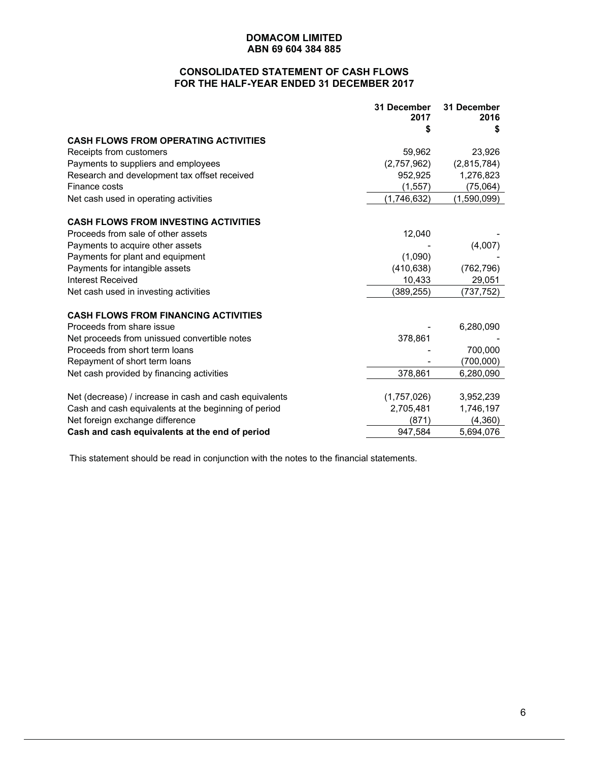# **CONSOLIDATED STATEMENT OF CASH FLOWS FOR THE HALF-YEAR ENDED 31 DECEMBER 2017**

|                                                        | 31 December<br>2017 | 31 December<br>2016 |
|--------------------------------------------------------|---------------------|---------------------|
|                                                        |                     |                     |
| <b>CASH FLOWS FROM OPERATING ACTIVITIES</b>            |                     |                     |
| Receipts from customers                                | 59,962              | 23,926              |
| Payments to suppliers and employees                    | (2,757,962)         | (2,815,784)         |
| Research and development tax offset received           | 952,925             | 1,276,823           |
| Finance costs                                          | (1, 557)            | (75,064)            |
| Net cash used in operating activities                  | (1,746,632)         | (1,590,099)         |
| <b>CASH FLOWS FROM INVESTING ACTIVITIES</b>            |                     |                     |
| Proceeds from sale of other assets                     | 12,040              |                     |
| Payments to acquire other assets                       |                     | (4,007)             |
| Payments for plant and equipment                       | (1,090)             |                     |
| Payments for intangible assets                         | (410, 638)          | (762, 796)          |
| Interest Received                                      | 10,433              | 29,051              |
| Net cash used in investing activities                  | (389, 255)          | (737,752)           |
| <b>CASH FLOWS FROM FINANCING ACTIVITIES</b>            |                     |                     |
| Proceeds from share issue                              |                     | 6,280,090           |
| Net proceeds from unissued convertible notes           | 378,861             |                     |
| Proceeds from short term loans                         |                     | 700,000             |
| Repayment of short term loans                          |                     | (700,000)           |
| Net cash provided by financing activities              | 378,861             | 6,280,090           |
| Net (decrease) / increase in cash and cash equivalents | (1,757,026)         | 3,952,239           |
| Cash and cash equivalents at the beginning of period   | 2,705,481           | 1,746,197           |
| Net foreign exchange difference                        | (871)               | (4,360)             |
| Cash and cash equivalents at the end of period         | 947,584             | 5,694,076           |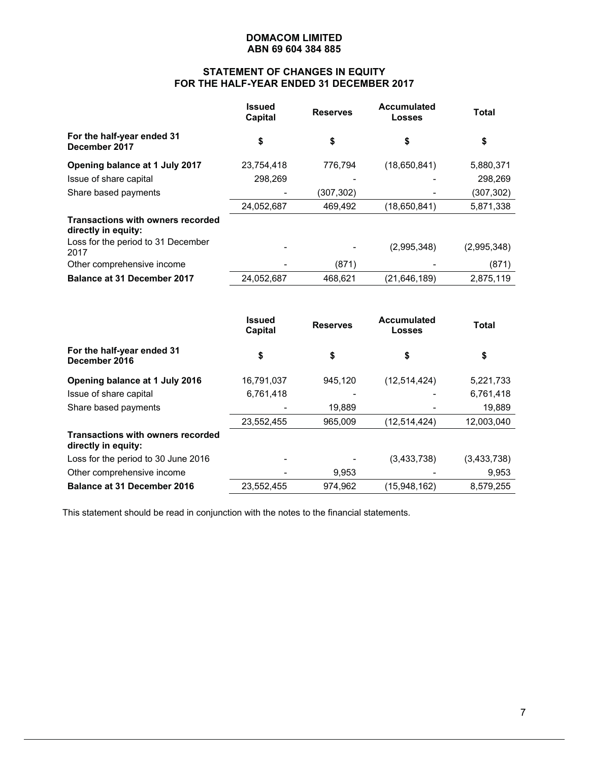# **STATEMENT OF CHANGES IN EQUITY FOR THE HALF-YEAR ENDED 31 DECEMBER 2017**

|                                                                 | <b>Issued</b><br>Capital | <b>Reserves</b> | <b>Accumulated</b><br>Losses | <b>Total</b> |
|-----------------------------------------------------------------|--------------------------|-----------------|------------------------------|--------------|
| For the half-year ended 31<br>December 2017                     | \$                       | \$              | \$                           | \$           |
| Opening balance at 1 July 2017                                  | 23,754,418               | 776.794         | (18,650,841)                 | 5,880,371    |
| Issue of share capital                                          | 298,269                  |                 |                              | 298,269      |
| Share based payments                                            |                          | (307,302)       |                              | (307, 302)   |
|                                                                 | 24,052,687               | 469,492         | (18,650,841)                 | 5,871,338    |
| <b>Transactions with owners recorded</b><br>directly in equity: |                          |                 |                              |              |
| Loss for the period to 31 December<br>2017                      |                          |                 | (2,995,348)                  | (2,995,348)  |
| Other comprehensive income                                      |                          | (871)           |                              | (871)        |
| <b>Balance at 31 December 2017</b>                              | 24,052,687               | 468.621         | (21, 646, 189)               | 2,875,119    |

|                                                                 | <b>Issued</b><br>Capital | <b>Reserves</b> | <b>Accumulated</b><br>Losses | <b>Total</b> |
|-----------------------------------------------------------------|--------------------------|-----------------|------------------------------|--------------|
| For the half-year ended 31<br>December 2016                     | \$                       | \$              | \$                           | \$           |
| Opening balance at 1 July 2016                                  | 16,791,037               | 945.120         | (12, 514, 424)               | 5,221,733    |
| Issue of share capital                                          | 6,761,418                |                 |                              | 6,761,418    |
| Share based payments                                            |                          | 19,889          |                              | 19,889       |
|                                                                 | 23,552,455               | 965.009         | (12, 514, 424)               | 12,003,040   |
| <b>Transactions with owners recorded</b><br>directly in equity: |                          |                 |                              |              |
| Loss for the period to 30 June 2016                             | ۰                        |                 | (3,433,738)                  | (3,433,738)  |
| Other comprehensive income                                      |                          | 9.953           |                              | 9,953        |
| <b>Balance at 31 December 2016</b>                              | 23,552,455               | 974.962         | (15,948,162)                 | 8,579,255    |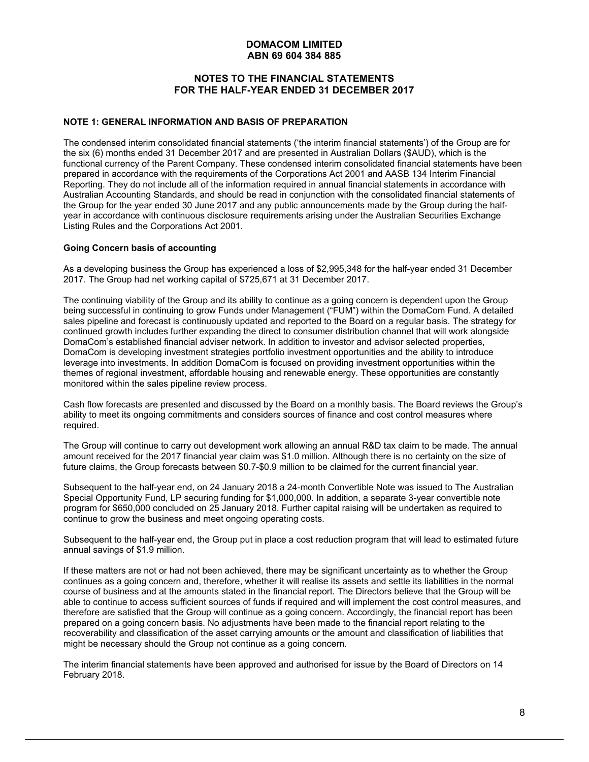## **NOTES TO THE FINANCIAL STATEMENTS FOR THE HALF-YEAR ENDED 31 DECEMBER 2017**

#### **NOTE 1: GENERAL INFORMATION AND BASIS OF PREPARATION**

The condensed interim consolidated financial statements ('the interim financial statements') of the Group are for the six (6) months ended 31 December 2017 and are presented in Australian Dollars (\$AUD), which is the functional currency of the Parent Company. These condensed interim consolidated financial statements have been prepared in accordance with the requirements of the Corporations Act 2001 and AASB 134 Interim Financial Reporting. They do not include all of the information required in annual financial statements in accordance with Australian Accounting Standards, and should be read in conjunction with the consolidated financial statements of the Group for the year ended 30 June 2017 and any public announcements made by the Group during the halfyear in accordance with continuous disclosure requirements arising under the Australian Securities Exchange Listing Rules and the Corporations Act 2001.

#### **Going Concern basis of accounting**

As a developing business the Group has experienced a loss of \$2,995,348 for the half-year ended 31 December 2017. The Group had net working capital of \$725,671 at 31 December 2017.

The continuing viability of the Group and its ability to continue as a going concern is dependent upon the Group being successful in continuing to grow Funds under Management ("FUM") within the DomaCom Fund. A detailed sales pipeline and forecast is continuously updated and reported to the Board on a regular basis. The strategy for continued growth includes further expanding the direct to consumer distribution channel that will work alongside DomaCom's established financial adviser network. In addition to investor and advisor selected properties, DomaCom is developing investment strategies portfolio investment opportunities and the ability to introduce leverage into investments. In addition DomaCom is focused on providing investment opportunities within the themes of regional investment, affordable housing and renewable energy. These opportunities are constantly monitored within the sales pipeline review process.

Cash flow forecasts are presented and discussed by the Board on a monthly basis. The Board reviews the Group's ability to meet its ongoing commitments and considers sources of finance and cost control measures where required.

The Group will continue to carry out development work allowing an annual R&D tax claim to be made. The annual amount received for the 2017 financial year claim was \$1.0 million. Although there is no certainty on the size of future claims, the Group forecasts between \$0.7-\$0.9 million to be claimed for the current financial year.

Subsequent to the half-year end, on 24 January 2018 a 24-month Convertible Note was issued to The Australian Special Opportunity Fund, LP securing funding for \$1,000,000. In addition, a separate 3-year convertible note program for \$650,000 concluded on 25 January 2018. Further capital raising will be undertaken as required to continue to grow the business and meet ongoing operating costs.

Subsequent to the half-year end, the Group put in place a cost reduction program that will lead to estimated future annual savings of \$1.9 million.

If these matters are not or had not been achieved, there may be significant uncertainty as to whether the Group continues as a going concern and, therefore, whether it will realise its assets and settle its liabilities in the normal course of business and at the amounts stated in the financial report. The Directors believe that the Group will be able to continue to access sufficient sources of funds if required and will implement the cost control measures, and therefore are satisfied that the Group will continue as a going concern. Accordingly, the financial report has been prepared on a going concern basis. No adjustments have been made to the financial report relating to the recoverability and classification of the asset carrying amounts or the amount and classification of liabilities that might be necessary should the Group not continue as a going concern.

The interim financial statements have been approved and authorised for issue by the Board of Directors on 14 February 2018.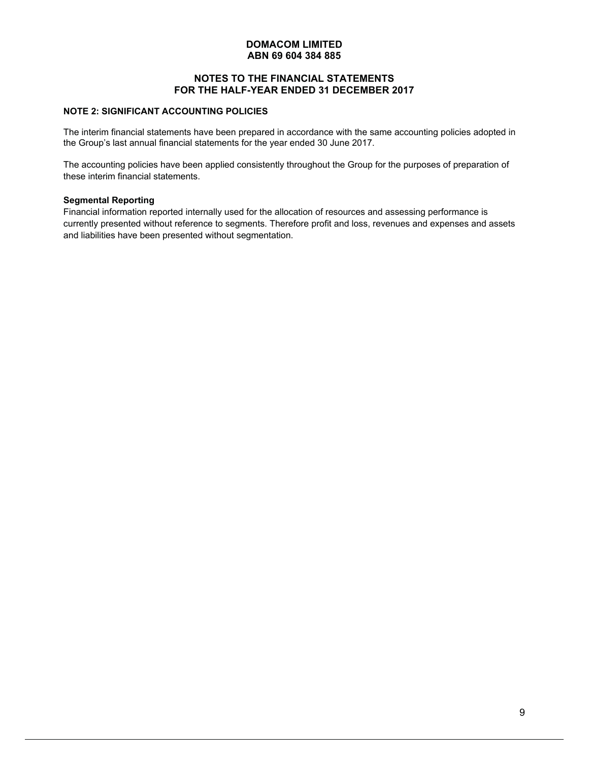## **NOTES TO THE FINANCIAL STATEMENTS FOR THE HALF-YEAR ENDED 31 DECEMBER 2017**

# **NOTE 2: SIGNIFICANT ACCOUNTING POLICIES**

The interim financial statements have been prepared in accordance with the same accounting policies adopted in the Group's last annual financial statements for the year ended 30 June 2017.

The accounting policies have been applied consistently throughout the Group for the purposes of preparation of these interim financial statements.

#### **Segmental Reporting**

Financial information reported internally used for the allocation of resources and assessing performance is currently presented without reference to segments. Therefore profit and loss, revenues and expenses and assets and liabilities have been presented without segmentation.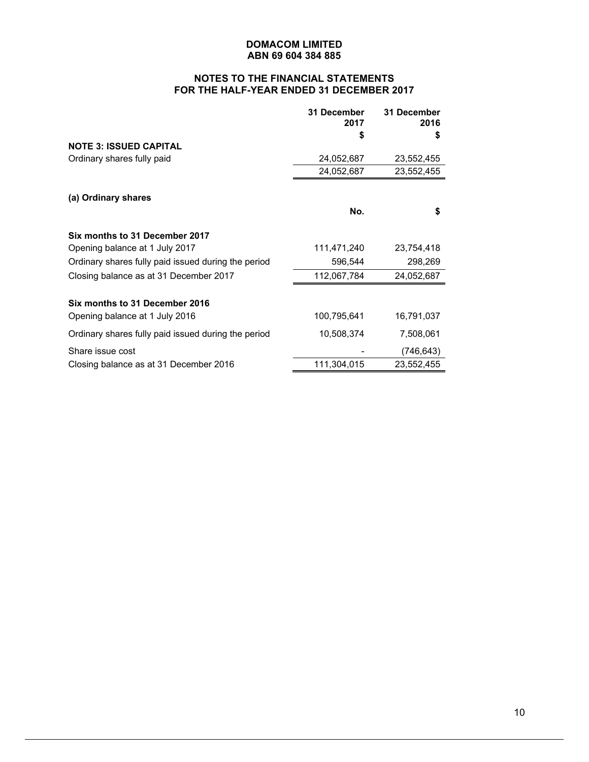# **NOTES TO THE FINANCIAL STATEMENTS FOR THE HALF-YEAR ENDED 31 DECEMBER 2017**

|                                                     | 31 December<br>2017 | 31 December<br>2016 |
|-----------------------------------------------------|---------------------|---------------------|
|                                                     | S                   | S                   |
| <b>NOTE 3: ISSUED CAPITAL</b>                       |                     |                     |
| Ordinary shares fully paid                          | 24,052,687          | 23,552,455          |
|                                                     | 24,052,687          | 23,552,455          |
| (a) Ordinary shares                                 |                     |                     |
|                                                     | No.                 | \$                  |
| Six months to 31 December 2017                      |                     |                     |
| Opening balance at 1 July 2017                      | 111,471,240         | 23,754,418          |
| Ordinary shares fully paid issued during the period | 596,544             | 298,269             |
| Closing balance as at 31 December 2017              | 112,067,784         | 24,052,687          |
| Six months to 31 December 2016                      |                     |                     |
| Opening balance at 1 July 2016                      | 100,795,641         | 16,791,037          |
| Ordinary shares fully paid issued during the period | 10,508,374          | 7,508,061           |
| Share issue cost                                    |                     | (746,643)           |
| Closing balance as at 31 December 2016              | 111,304,015         | 23,552,455          |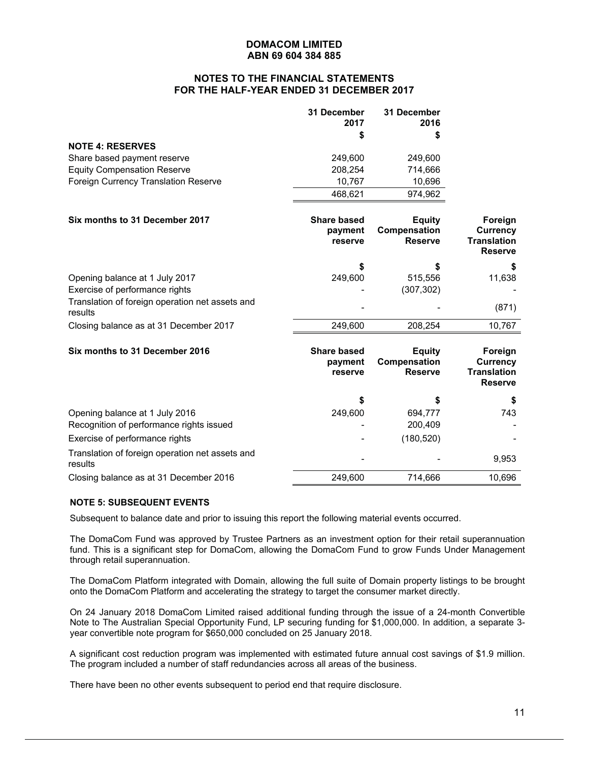## **NOTES TO THE FINANCIAL STATEMENTS FOR THE HALF-YEAR ENDED 31 DECEMBER 2017**

|                                      | 31 December<br>2017 | 31 December<br>2016 |
|--------------------------------------|---------------------|---------------------|
|                                      |                     | S                   |
| <b>NOTE 4: RESERVES</b>              |                     |                     |
| Share based payment reserve          | 249.600             | 249.600             |
| <b>Equity Compensation Reserve</b>   | 208.254             | 714,666             |
| Foreign Currency Translation Reserve | 10.767              | 10,696              |
|                                      | 468.621             | 974.962             |

| Six months to 31 December 2017                             | <b>Share based</b><br>payment<br>reserve | Equity<br>Compensation<br><b>Reserve</b> | Foreign<br><b>Currency</b><br><b>Translation</b><br><b>Reserve</b> |
|------------------------------------------------------------|------------------------------------------|------------------------------------------|--------------------------------------------------------------------|
|                                                            | \$                                       |                                          |                                                                    |
| Opening balance at 1 July 2017                             | 249,600                                  | 515.556                                  | 11,638                                                             |
| Exercise of performance rights                             |                                          | (307, 302)                               |                                                                    |
| Translation of foreign operation net assets and<br>results | -                                        |                                          | (871)                                                              |
| Closing balance as at 31 December 2017                     | 249.600                                  | 208.254                                  | 10.767                                                             |

| Six months to 31 December 2016                             | <b>Share based</b><br>payment<br>reserve | Equity<br>Compensation<br><b>Reserve</b> | Foreign<br>Currency<br><b>Translation</b><br><b>Reserve</b> |
|------------------------------------------------------------|------------------------------------------|------------------------------------------|-------------------------------------------------------------|
|                                                            | \$                                       | S                                        |                                                             |
| Opening balance at 1 July 2016                             | 249,600                                  | 694,777                                  | 743                                                         |
| Recognition of performance rights issued                   | ۰                                        | 200.409                                  |                                                             |
| Exercise of performance rights                             |                                          | (180, 520)                               |                                                             |
| Translation of foreign operation net assets and<br>results | ٠                                        |                                          | 9,953                                                       |
| Closing balance as at 31 December 2016                     | 249.600                                  | 714.666                                  | 10.696                                                      |

#### **NOTE 5: SUBSEQUENT EVENTS**

Subsequent to balance date and prior to issuing this report the following material events occurred.

The DomaCom Fund was approved by Trustee Partners as an investment option for their retail superannuation fund. This is a significant step for DomaCom, allowing the DomaCom Fund to grow Funds Under Management through retail superannuation.

The DomaCom Platform integrated with Domain, allowing the full suite of Domain property listings to be brought onto the DomaCom Platform and accelerating the strategy to target the consumer market directly.

On 24 January 2018 DomaCom Limited raised additional funding through the issue of a 24-month Convertible Note to The Australian Special Opportunity Fund, LP securing funding for \$1,000,000. In addition, a separate 3 year convertible note program for \$650,000 concluded on 25 January 2018.

A significant cost reduction program was implemented with estimated future annual cost savings of \$1.9 million. The program included a number of staff redundancies across all areas of the business.

There have been no other events subsequent to period end that require disclosure.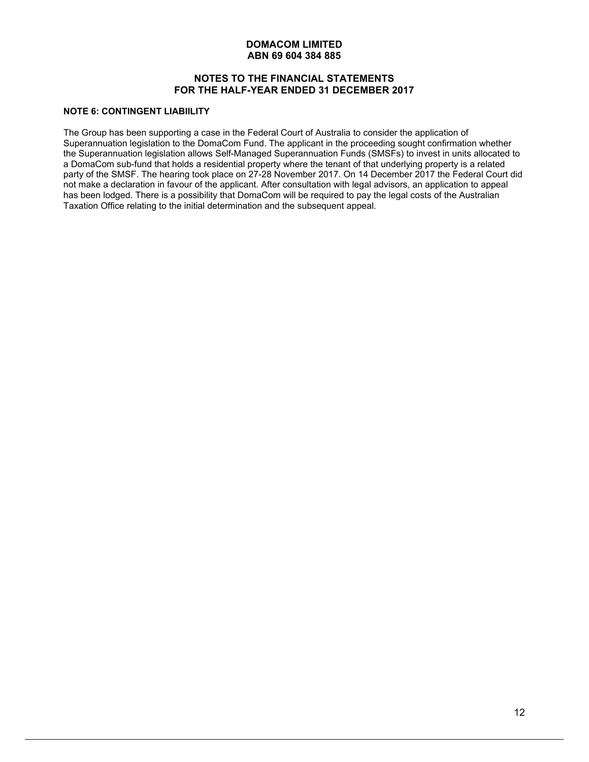## **NOTES TO THE FINANCIAL STATEMENTS FOR THE HALF-YEAR ENDED 31 DECEMBER 2017**

# **NOTE 6: CONTINGENT LIABIILITY**

The Group has been supporting a case in the Federal Court of Australia to consider the application of Superannuation legislation to the DomaCom Fund. The applicant in the proceeding sought confirmation whether the Superannuation legislation allows Self-Managed Superannuation Funds (SMSFs) to invest in units allocated to a DomaCom sub-fund that holds a residential property where the tenant of that underlying property is a related party of the SMSF. The hearing took place on 27-28 November 2017. On 14 December 2017 the Federal Court did not make a declaration in favour of the applicant. After consultation with legal advisors, an application to appeal has been lodged. There is a possibility that DomaCom will be required to pay the legal costs of the Australian Taxation Office relating to the initial determination and the subsequent appeal.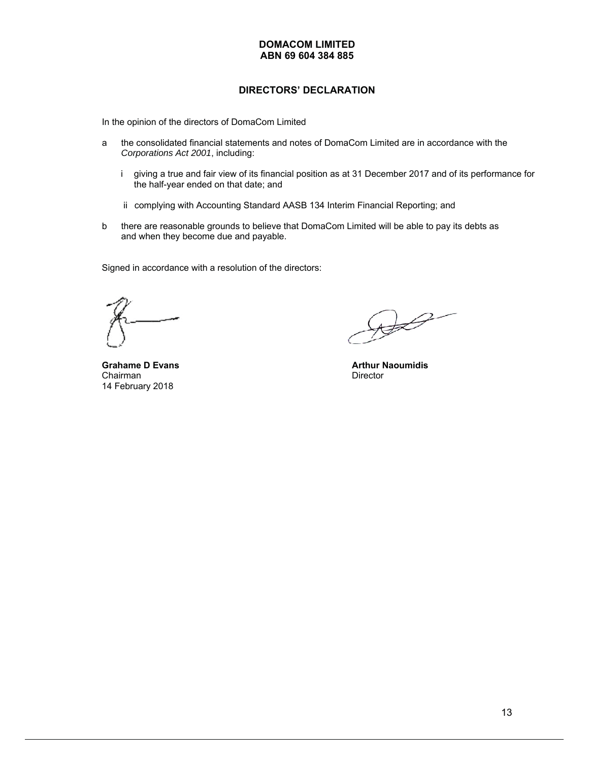# **DIRECTORS' DECLARATION**

In the opinion of the directors of DomaCom Limited

- a the consolidated financial statements and notes of DomaCom Limited are in accordance with the *Corporations Act 2001*, including:
	- i giving a true and fair view of its financial position as at 31 December 2017 and of its performance for the half-year ended on that date; and
	- ii complying with Accounting Standard AASB 134 Interim Financial Reporting; and
- b there are reasonable grounds to believe that DomaCom Limited will be able to pay its debts as and when they become due and payable.

Signed in accordance with a resolution of the directors:

**Grahame D Evans Arthur Naoumidis**<br>
Chairman **Arthur Naoumidis**<br>
Director Chairman 14 February 2018

 $\bigoplus$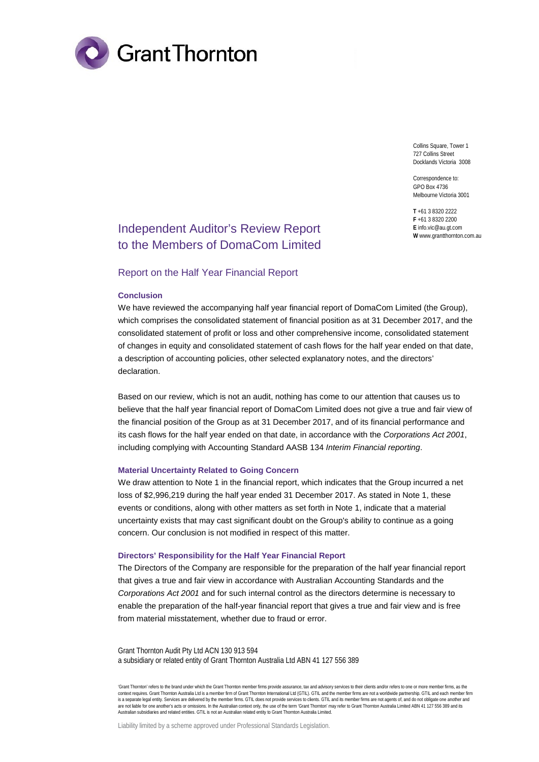

Collins Square, Tower 1 727 Collins Street Docklands Victoria 3008

Correspondence to: GPO Box 4736 Melbourne Victoria 3001

**T** +61 3 8320 2222 **F** +61 3 8320 2200 **E** info.vic@au.gt.com **W** www.grantthornton.com.au

# Independent Auditor's Review Report to the Members of DomaCom Limited

#### Report on the Half Year Financial Report

#### **Conclusion**

We have reviewed the accompanying half year financial report of DomaCom Limited (the Group), which comprises the consolidated statement of financial position as at 31 December 2017, and the consolidated statement of profit or loss and other comprehensive income, consolidated statement of changes in equity and consolidated statement of cash flows for the half year ended on that date, a description of accounting policies, other selected explanatory notes, and the directors' declaration.

Based on our review, which is not an audit, nothing has come to our attention that causes us to believe that the half year financial report of DomaCom Limited does not give a true and fair view of the financial position of the Group as at 31 December 2017, and of its financial performance and its cash flows for the half year ended on that date, in accordance with the *Corporations Act 2001*, including complying with Accounting Standard AASB 134 *Interim Financial reporting*.

#### **Material Uncertainty Related to Going Concern**

We draw attention to Note 1 in the financial report, which indicates that the Group incurred a net loss of \$2,996,219 during the half year ended 31 December 2017. As stated in Note 1, these events or conditions, along with other matters as set forth in Note 1, indicate that a material uncertainty exists that may cast significant doubt on the Group's ability to continue as a going concern. Our conclusion is not modified in respect of this matter.

#### **Directors' Responsibility for the Half Year Financial Report**

The Directors of the Company are responsible for the preparation of the half year financial report that gives a true and fair view in accordance with Australian Accounting Standards and the *Corporations Act 2001* and for such internal control as the directors determine is necessary to enable the preparation of the half-year financial report that gives a true and fair view and is free from material misstatement, whether due to fraud or error.

Grant Thornton Audit Pty Ltd ACN 130 913 594 a subsidiary or related entity of Grant Thornton Australia Ltd ABN 41 127 556 389

'Grant Thornton' refers to the brand under which the Grant Thornton member firms provide assurance, tax and advisory services to their clients and/or refers to one or more member firms, as the context requires. Grant Thornton Australia Ltd is a member firm of Grant Thornton International Ltd (GTIL). GTIL and the member firms are not a worldwide partnership. GTIL and each member firm is a separate legal entity. Services are delivered by the member firms. GTIL does not provide services to clients. GTIL and its member firms are not agents of, and do not obligate one another and are not liable for one another's acts or omissions. In the Australian context only, the use of the term 'Grant Thornton' may refer to Grant Thornton Australia Limited ABN 41 127 556 389 and its Australian subsidiaries and related entities. GTIL is not an Australian related entity to Grant Thornton Australia Limited.